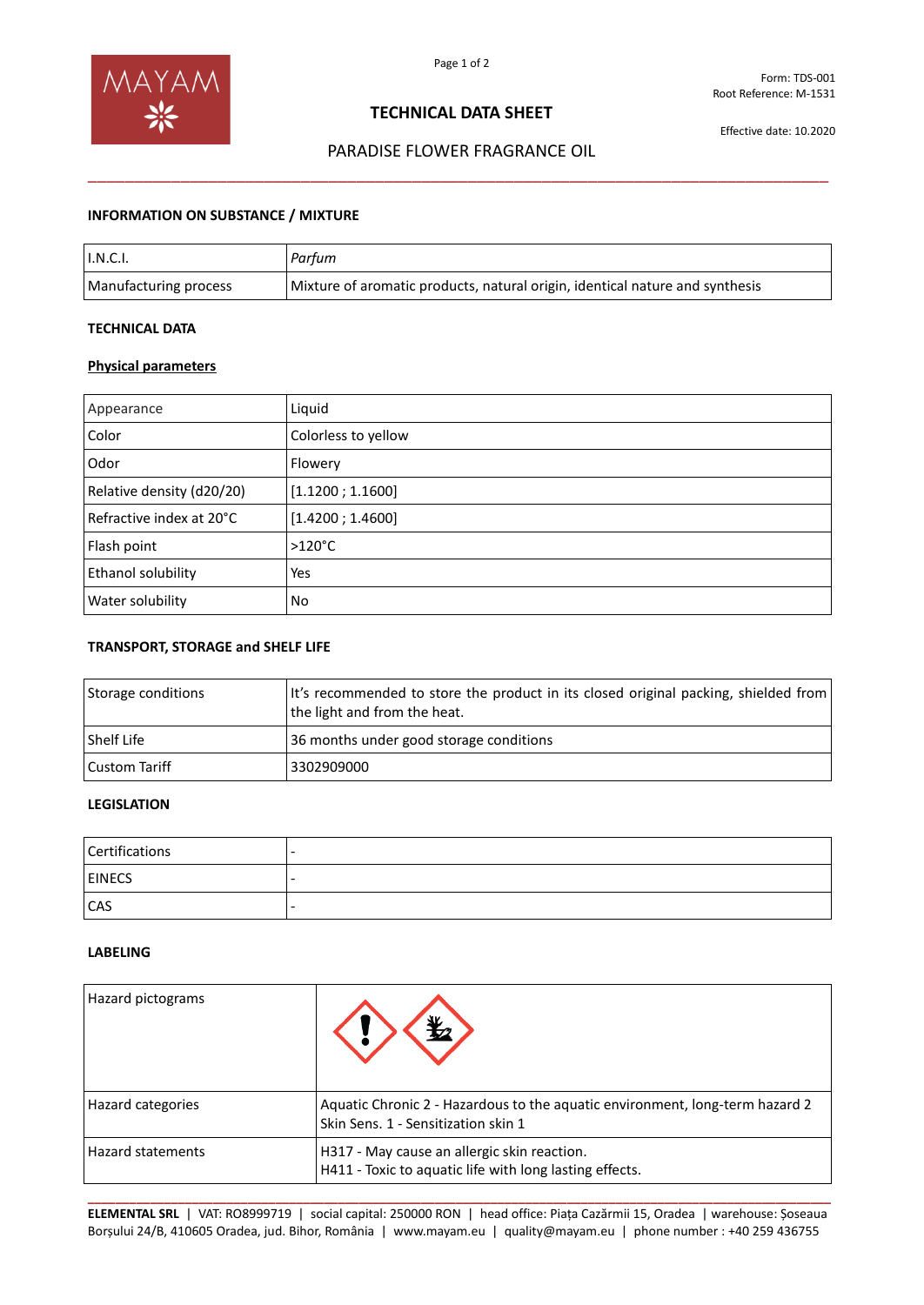

# **TECHNICAL DATA SHEET**

Effective date: 10.2020

# PARADISE FLOWER FRAGRANCE OIL \_\_\_\_\_\_\_\_\_\_\_\_\_\_\_\_\_\_\_\_\_\_\_\_\_\_\_\_\_\_\_\_\_\_\_\_\_\_\_\_\_\_\_\_\_\_\_\_\_\_\_\_\_\_\_\_\_\_\_\_\_\_\_\_\_\_\_\_\_\_\_\_\_\_\_\_\_\_\_\_

## **INFORMATION ON SUBSTANCE / MIXTURE**

| $\mathsf{I}.\mathsf{N}.\mathsf{C}.\mathsf{I}.$ | Parfum                                                                       |
|------------------------------------------------|------------------------------------------------------------------------------|
| Manufacturing process                          | Mixture of aromatic products, natural origin, identical nature and synthesis |

### **TECHNICAL DATA**

### **Physical parameters**

| Appearance                | Liquid              |
|---------------------------|---------------------|
| Color                     | Colorless to yellow |
| Odor                      | Flowery             |
| Relative density (d20/20) | [1.1200; 1.1600]    |
| Refractive index at 20°C  | [1.4200; 1.4600]    |
| Flash point               | $>120^{\circ}$ C    |
| Ethanol solubility        | Yes                 |
| Water solubility          | No                  |

### **TRANSPORT, STORAGE and SHELF LIFE**

| Storage conditions | It's recommended to store the product in its closed original packing, shielded from<br>the light and from the heat. |
|--------------------|---------------------------------------------------------------------------------------------------------------------|
| Shelf Life         | 36 months under good storage conditions                                                                             |
| Custom Tariff      | 3302909000                                                                                                          |

# **LEGISLATION**

| Certifications | $\overline{\phantom{0}}$ |
|----------------|--------------------------|
| <b>EINECS</b>  | -                        |
| <b>CAS</b>     | -                        |

#### **LABELING**

| Hazard pictograms        |                                                                                                                     |
|--------------------------|---------------------------------------------------------------------------------------------------------------------|
| Hazard categories        | Aquatic Chronic 2 - Hazardous to the aquatic environment, long-term hazard 2<br>Skin Sens. 1 - Sensitization skin 1 |
| <b>Hazard statements</b> | H317 - May cause an allergic skin reaction.<br>H411 - Toxic to aquatic life with long lasting effects.              |

**\_\_\_\_\_\_\_\_\_\_\_\_\_\_\_\_\_\_\_\_\_\_\_\_\_\_\_\_\_\_\_\_\_\_\_\_\_\_\_\_\_\_\_\_\_\_\_\_\_\_\_\_\_\_\_\_\_\_\_\_\_\_\_\_\_\_\_\_\_\_\_\_\_\_\_\_\_\_\_\_\_\_\_\_\_\_\_\_\_\_\_\_\_\_\_\_\_\_\_\_\_\_\_\_\_\_\_ ELEMENTAL SRL** | VAT: RO8999719 | social capital: 250000 RON | head office: Piața Cazărmii 15, Oradea | warehouse: Șoseaua Borșului 24/B, 410605 Oradea, jud. Bihor, România | www.mayam.eu | quality@mayam.eu | phone number : +40 259 436755